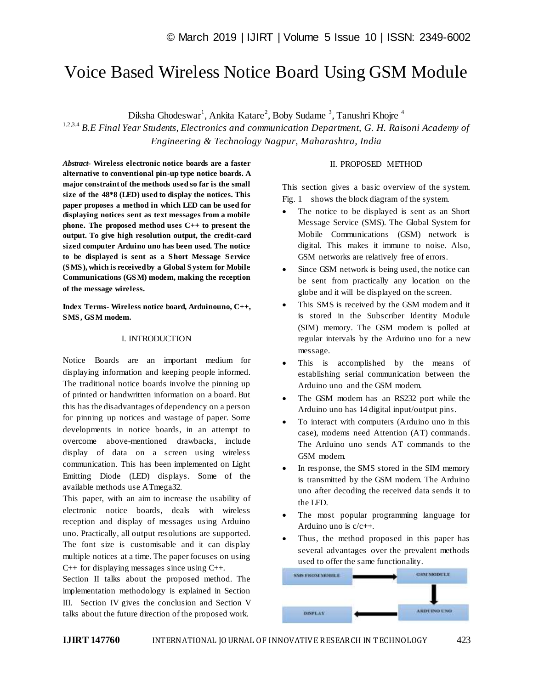# Voice Based Wireless Notice Board Using GSM Module

Diksha Ghodeswar<sup>1</sup>, Ankita Katare<sup>2</sup>, Boby Sudame<sup>3</sup>, Tanushri Khojre<sup>4</sup>

<sup>1,2,3,4</sup> B.E Final Year Students, Electronics and communication Department, G. H. Raisoni Academy of *Engineering & Technology Nagpur, Maharashtra, India*

*Abstract*- **Wireless electronic notice boards are a faster alternative to conventional pin-up type notice boards. A major constraint of the methods used so far is the small size of the 48\*8 (LED) used to display the notices. This paper proposes a method in which LED can be used for displaying notices sent as text messages from a mobile phone. The proposed method uses C++ to present the output. To give high resolution output, the credit-card sized computer Arduino uno has been used. The notice to be displayed is sent as a Short Message Service (SMS), which is received by a Global System for Mobile Communications (GSM) modem, making the reception of the message wireless.** 

**Index Terms- Wireless notice board, Arduinouno, C++, SMS, GSM modem.**

#### I. INTRODUCTION

Notice Boards are an important medium for displaying information and keeping people informed. The traditional notice boards involve the pinning up of printed or handwritten information on a board. But this has the disadvantages of dependency on a person for pinning up notices and wastage of paper. Some developments in notice boards, in an attempt to overcome above-mentioned drawbacks, include display of data on a screen using wireless communication. This has been implemented on Light Emitting Diode (LED) displays. Some of the available methods use ATmega32.

This paper, with an aim to increase the usability of electronic notice boards, deals with wireless reception and display of messages using Arduino uno. Practically, all output resolutions are supported. The font size is customisable and it can display multiple notices at a time. The paper focuses on using C++ for displaying messages since using C++.

Section II talks about the proposed method. The implementation methodology is explained in Section III. Section IV gives the conclusion and Section V talks about the future direction of the proposed work.

#### II. PROPOSED METHOD

This section gives a basic overview of the system. Fig. 1 shows the block diagram of the system.

- The notice to be displayed is sent as an Short Message Service (SMS). The Global System for Mobile Communications (GSM) network is digital. This makes it immune to noise. Also, GSM networks are relatively free of errors.
- Since GSM network is being used, the notice can be sent from practically any location on the globe and it will be displayed on the screen.
- This SMS is received by the GSM modem and it is stored in the Subscriber Identity Module (SIM) memory. The GSM modem is polled at regular intervals by the Arduino uno for a new message.
- This is accomplished by the means of establishing serial communication between the Arduino uno and the GSM modem.
- The GSM modem has an RS232 port while the Arduino uno has 14 digital input/output pins.
- To interact with computers (Arduino uno in this case), modems need Attention (AT) commands. The Arduino uno sends AT commands to the GSM modem.
- In response, the SMS stored in the SIM memory is transmitted by the GSM modem. The Arduino uno after decoding the received data sends it to the LED.
- The most popular programming language for Arduino uno is c/c++.
- Thus, the method proposed in this paper has several advantages over the prevalent methods used to offer the same functionality.

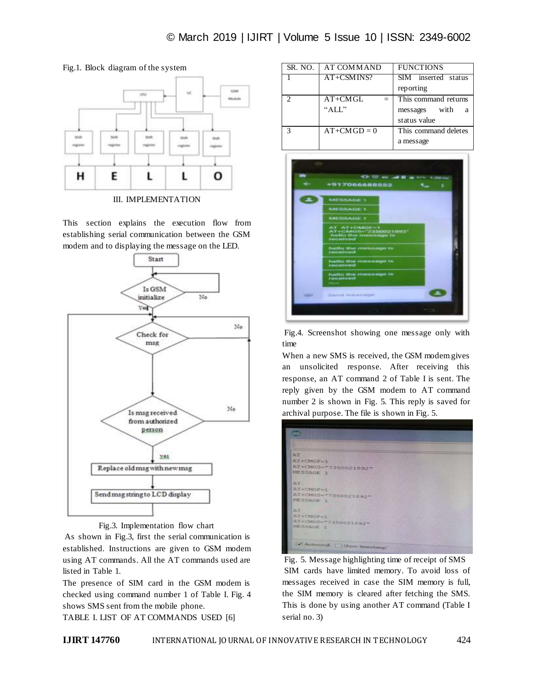

Fig.1. Block diagram of the system

III. IMPLEMENTATION

This section explains the execution flow from establishing serial communication between the GSM modem and to displaying the message on the LED.



Fig.3. Implementation flow chart

As shown in Fig.3, first the serial communication is established. Instructions are given to GSM modem using AT commands. All the AT commands used are listed in Table 1.

The presence of SIM card in the GSM modem is checked using command number 1 of Table I. Fig. 4 shows SMS sent from the mobile phone.

TABLE I. LIST OF AT COMMANDS USED [6]

| SR. NO.                 | <b>AT COMMAND</b>                     | <b>FUNCTIONS</b>                        |
|-------------------------|---------------------------------------|-----------------------------------------|
|                         | $AT+CSMINS?$                          | $\overline{\text{SIM}}$ inserted status |
|                         |                                       | reporting                               |
|                         | $AT+CMGL$<br>$\overline{\phantom{0}}$ | This command returns                    |
|                         | " $ALI$ "                             | with<br>messages<br>a                   |
|                         |                                       | status value                            |
| $\mathbf{\overline{3}}$ | $AT+CMGD = 0$                         | This command deletes                    |
|                         |                                       | a message                               |



Fig.4. Screenshot showing one message only with time

When a new SMS is received, the GSM modem gives an unsolicited response. After receiving this response, an AT command 2 of Table I is sent. The reply given by the GSM modem to AT command number 2 is shown in Fig. 5. This reply is saved for archival purpose. The file is shown in Fig. 5.

| <b>24.TI</b>                                 |                                                                                                                                                                                                                                      |
|----------------------------------------------|--------------------------------------------------------------------------------------------------------------------------------------------------------------------------------------------------------------------------------------|
| AT+CHGF-1                                    |                                                                                                                                                                                                                                      |
| AT+CHGSHEESSOOF1892=                         |                                                                                                                                                                                                                                      |
| MENSAGE 1                                    |                                                                                                                                                                                                                                      |
|                                              |                                                                                                                                                                                                                                      |
| <b>Add</b>                                   | 12000                                                                                                                                                                                                                                |
| AT+CHAF+1                                    | <b>LAND</b><br>œ                                                                                                                                                                                                                     |
| AT+CMGd - T350021842*                        | <b>THE PERSON</b><br><b>THE REAL</b><br>. .                                                                                                                                                                                          |
| ment in the stations.<br><b>MESSAGE X</b>    | . .<br><b>STELL UP</b><br><b>HALL RESULTING CO.</b><br><b>DOUGLASS</b><br><b>Contractor</b>                                                                                                                                          |
| 26.25                                        | 91111110<br><b>Complete</b>                                                                                                                                                                                                          |
|                                              | <b>UTHING HALL</b><br><b>COLLECT</b>                                                                                                                                                                                                 |
| AT+CHGFHL                                    | <b>The Committee of the Committee of the Committee of the Committee of the Committee of the Committee of the Committee</b>                                                                                                           |
| AT+CHOO-PTAS002INN2"<br><b>RESIDENCE</b> III | <b>ALLEN BURGLARES IN CONTRACT</b>                                                                                                                                                                                                   |
|                                              | <u> 1989 - John Marie Barn, mars film ann an 1989 - Barn ann an 1989 - Barn ann an 1989 - Barn ann an 1989 - Barn ann an 1989 - Barn ann an 1989 - Barn ann an 1989 - Barn ann an 1989 - Barn ann an 1989 - Barn ann an 1989 - B</u> |
|                                              | and the state of the state of the state of the state of the state of the state of the state of the state of the<br>All the the state of the state of the state of the state of the state of the state of the state of the state of   |

Fig. 5. Message highlighting time of receipt of SMS SIM cards have limited memory. To avoid loss of messages received in case the SIM memory is full, the SIM memory is cleared after fetching the SMS. This is done by using another AT command (Table I serial no. 3)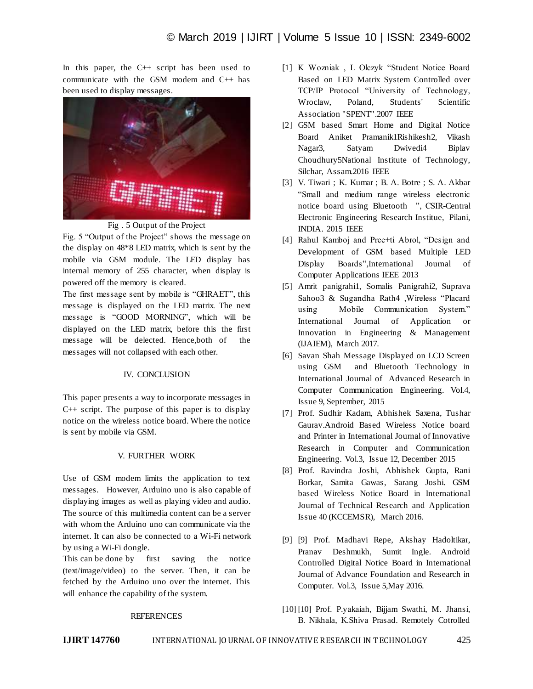In this paper, the C++ script has been used to communicate with the GSM modem and C++ has been used to display messages.



Fig . 5 Output of the Project

Fig. 5 "Output of the Project" shows the message on the display on 48\*8 LED matrix, which is sent by the mobile via GSM module. The LED display has internal memory of 255 character, when display is powered off the memory is cleared.

The first message sent by mobile is "GHRAET", this message is displayed on the LED matrix. The next message is "GOOD MORNING", which will be displayed on the LED matrix, before this the first message will be delected. Hence,both of the messages will not collapsed with each other.

## IV. CONCLUSION

This paper presents a way to incorporate messages in  $C_{++}$  script. The purpose of this paper is to display notice on the wireless notice board. Where the notice is sent by mobile via GSM.

## V. FURTHER WORK

Use of GSM modem limits the application to text messages. However, Arduino uno is also capable of displaying images as well as playing video and audio. The source of this multimedia content can be a server with whom the Arduino uno can communicate via the internet. It can also be connected to a Wi-Fi network by using a Wi-Fi dongle.

This can be done by first saving the notice (text/image/video) to the server. Then, it can be fetched by the Arduino uno over the internet. This will enhance the capability of the system.

## **REFERENCES**

- [1] K Wozniak , L Olczyk "Student Notice Board Based on LED Matrix System Controlled over TCP/IP Protocol "University of Technology, Wroclaw, Poland, Students' Scientific Association "SPENT".2007 IEEE
- [2] GSM based Smart Home and Digital Notice Board Aniket Pramanik1Rishikesh2, Vikash Nagar3, Satyam Dwivedi4 Biplav Choudhury5National Institute of Technology, Silchar, Assam.2016 IEEE
- [3] V. Tiwari ; K. Kumar ; B. A. Botre ; S. A. Akbar "Small and medium range wireless electronic notice board using Bluetooth ", CSIR-Central Electronic Engineering Research Institue, Pilani, INDIA. 2015 IEEE
- [4] Rahul Kamboj and Pree+ti Abrol, "Design and Development of GSM based Multiple LED Display Boards",International Journal of Computer Applications IEEE 2013
- [5] Amrit panigrahi1, Somalis Panigrahi2, Suprava Sahoo3 & Sugandha Rath4 ,Wireless "Placard using Mobile Communication System." International Journal of Application or Innovation in Engineering & Management (IJAIEM), March 2017.
- [6] Savan Shah Message Displayed on LCD Screen using GSM and Bluetooth Technology in International Journal of Advanced Research in Computer Communication Engineering. Vol.4, Issue 9, September, 2015
- [7] Prof. Sudhir Kadam, Abhishek Saxena, Tushar Gaurav.Android Based Wireless Notice board and Printer in International Journal of Innovative Research in Computer and Communication Engineering. Vol.3, Issue 12, December 2015
- [8] Prof. Ravindra Joshi, Abhishek Gupta, Rani Borkar, Samita Gawas, Sarang Joshi. GSM based Wireless Notice Board in International Journal of Technical Research and Application Issue 40 (KCCEMSR), March 2016.
- [9] [9] Prof. Madhavi Repe, Akshay Hadoltikar, Pranav Deshmukh, Sumit Ingle. Android Controlled Digital Notice Board in International Journal of Advance Foundation and Research in Computer. Vol.3, Issue 5,May 2016.
- [10] [10] Prof. P.yakaiah, Bijjam Swathi, M. Jhansi, B. Nikhala, K.Shiva Prasad. Remotely Cotrolled

**IJIRT 147760** INTERNATIONAL JOURNAL OF INNOVATIVE RESEARCH IN TECHNOLOGY 425